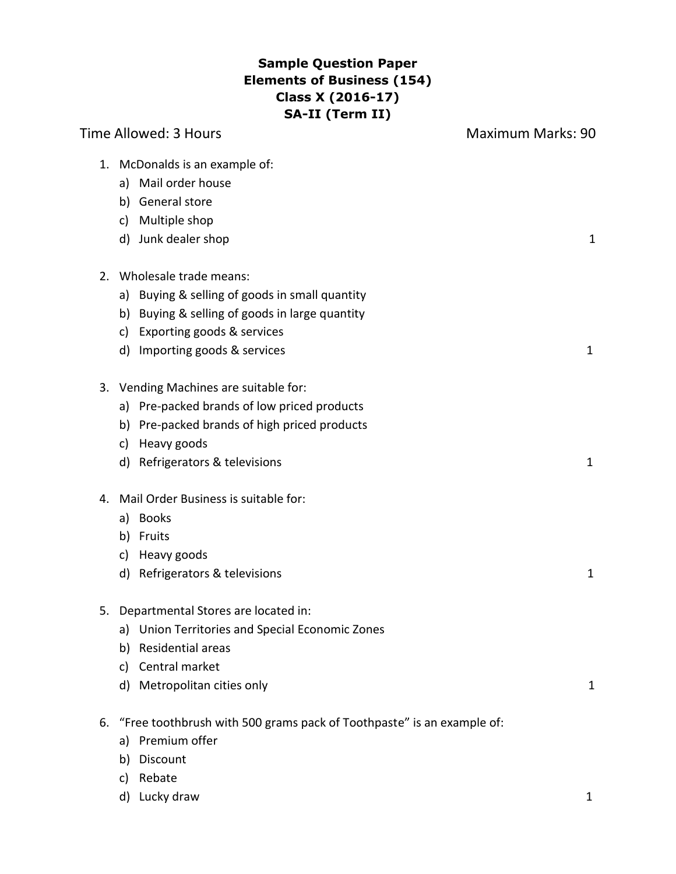# **Sample Question Paper Elements of Business (154) Class X (2016-17) SA-II (Term II)**

|                            | Time Allowed: 3 Hours                                                                                                                                                            | <b>Maximum Marks: 90</b> |
|----------------------------|----------------------------------------------------------------------------------------------------------------------------------------------------------------------------------|--------------------------|
| c)                         | 1. McDonalds is an example of:<br>a) Mail order house<br>b) General store<br>Multiple shop<br>d) Junk dealer shop                                                                | 1                        |
|                            |                                                                                                                                                                                  |                          |
| 2.<br>a)<br>b)<br>c)<br>d) | Wholesale trade means:<br>Buying & selling of goods in small quantity<br>Buying & selling of goods in large quantity<br>Exporting goods & services<br>Importing goods & services | $\mathbf{1}$             |
| a)<br>b)<br>c)             | 3. Vending Machines are suitable for:<br>Pre-packed brands of low priced products<br>Pre-packed brands of high priced products<br>Heavy goods<br>d) Refrigerators & televisions  | $\mathbf{1}$             |
| 4.<br>a)<br>b)<br>c)<br>d) | Mail Order Business is suitable for:<br><b>Books</b><br>Fruits<br>Heavy goods<br>Refrigerators & televisions                                                                     | $\mathbf{1}$             |
| 5.<br>a)<br>b)<br>c)<br>d) | Departmental Stores are located in:<br>Union Territories and Special Economic Zones<br>Residential areas<br>Central market<br>Metropolitan cities only                           | 1                        |
| 6.<br>a)<br>b)<br>c)       | "Free toothbrush with 500 grams pack of Toothpaste" is an example of:<br>Premium offer<br>Discount<br>Rebate                                                                     |                          |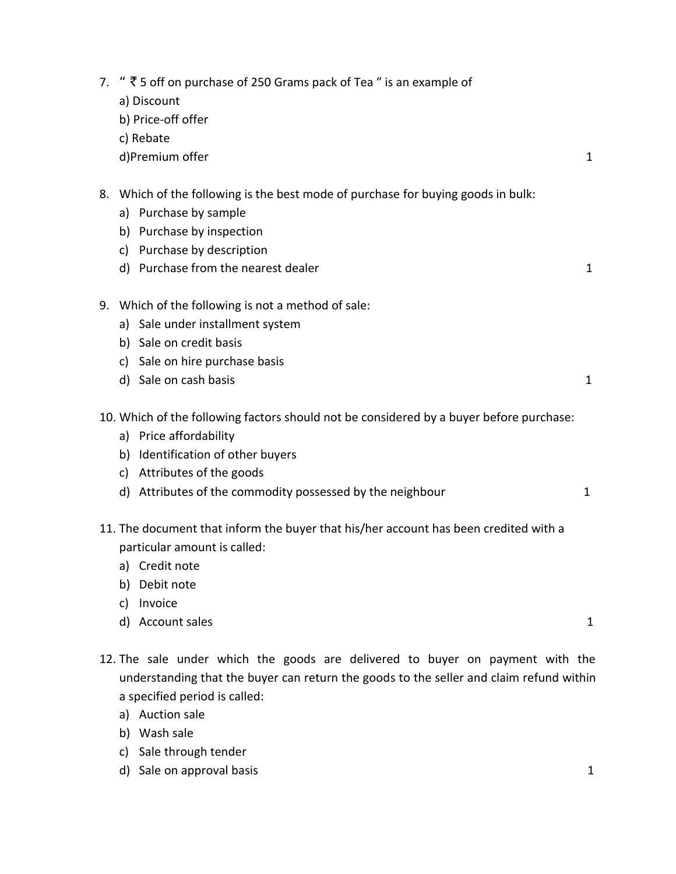| 7. |    | " $\bar{\tau}$ 5 off on purchase of 250 Grams pack of Tea" is an example of<br>a) Discount |              |
|----|----|--------------------------------------------------------------------------------------------|--------------|
|    |    | b) Price-off offer                                                                         |              |
|    |    | c) Rebate                                                                                  |              |
|    |    | d)Premium offer                                                                            | $\mathbf{1}$ |
|    |    | 8. Which of the following is the best mode of purchase for buying goods in bulk:           |              |
|    |    | a) Purchase by sample                                                                      |              |
|    |    | b) Purchase by inspection                                                                  |              |
|    | c) | Purchase by description                                                                    |              |
|    |    | d) Purchase from the nearest dealer                                                        | $\mathbf 1$  |
|    |    | 9. Which of the following is not a method of sale:                                         |              |
|    |    | a) Sale under installment system                                                           |              |
|    |    | b) Sale on credit basis                                                                    |              |
|    |    | c) Sale on hire purchase basis                                                             |              |
|    |    | d) Sale on cash basis                                                                      | 1            |
|    |    | 10. Which of the following factors should not be considered by a buyer before purchase:    |              |
|    |    | a) Price affordability                                                                     |              |
|    |    | b) Identification of other buyers                                                          |              |
|    |    | c) Attributes of the goods                                                                 |              |
|    |    | d) Attributes of the commodity possessed by the neighbour                                  | $\mathbf{1}$ |
|    |    | 11. The document that inform the buyer that his/her account has been credited with a       |              |
|    |    | particular amount is called:                                                               |              |
|    |    | a) Credit note                                                                             |              |
|    |    | b) Debit note                                                                              |              |
|    | c) | Invoice                                                                                    |              |
|    |    | d) Account sales                                                                           | 1            |

- 12. The sale under which the goods are delivered to buyer on payment with the understanding that the buyer can return the goods to the seller and claim refund within a specified period is called:
	- a) Auction sale
	- b) Wash sale
	- c) Sale through tender
	- d) Sale on approval basis 1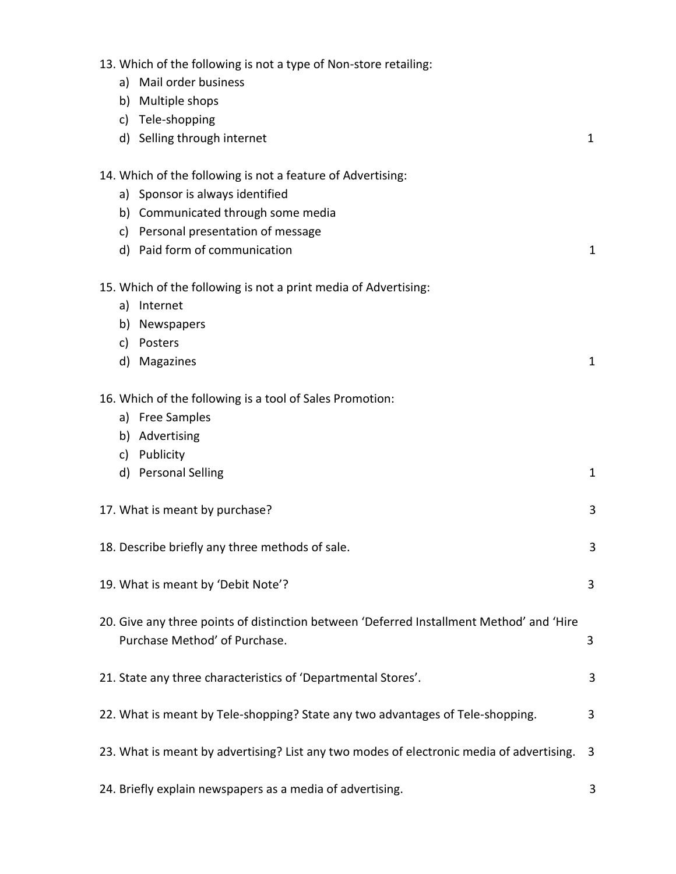| 13. Which of the following is not a type of Non-store retailing:<br>a) Mail order business                                |              |
|---------------------------------------------------------------------------------------------------------------------------|--------------|
| Multiple shops<br>b)                                                                                                      |              |
| Tele-shopping<br>c)                                                                                                       |              |
| d) Selling through internet                                                                                               | 1            |
|                                                                                                                           |              |
| 14. Which of the following is not a feature of Advertising:                                                               |              |
| a) Sponsor is always identified                                                                                           |              |
| b) Communicated through some media                                                                                        |              |
| c) Personal presentation of message                                                                                       |              |
| d) Paid form of communication                                                                                             | 1            |
| 15. Which of the following is not a print media of Advertising:                                                           |              |
| Internet<br>a)                                                                                                            |              |
| Newspapers<br>b)                                                                                                          |              |
| Posters<br>c)                                                                                                             |              |
| Magazines<br>d)                                                                                                           | 1            |
| 16. Which of the following is a tool of Sales Promotion:                                                                  |              |
| a) Free Samples                                                                                                           |              |
| b) Advertising                                                                                                            |              |
| Publicity<br>c)                                                                                                           |              |
| <b>Personal Selling</b><br>d)                                                                                             | $\mathbf{1}$ |
| 17. What is meant by purchase?                                                                                            | 3            |
| 18. Describe briefly any three methods of sale.                                                                           | 3            |
| 19. What is meant by 'Debit Note'?                                                                                        | 3            |
| 20. Give any three points of distinction between 'Deferred Installment Method' and 'Hire<br>Purchase Method' of Purchase. | 3            |
| 21. State any three characteristics of 'Departmental Stores'.                                                             | 3            |
| 22. What is meant by Tele-shopping? State any two advantages of Tele-shopping.                                            | 3            |
| 23. What is meant by advertising? List any two modes of electronic media of advertising.                                  | 3            |
| 24. Briefly explain newspapers as a media of advertising.                                                                 | 3            |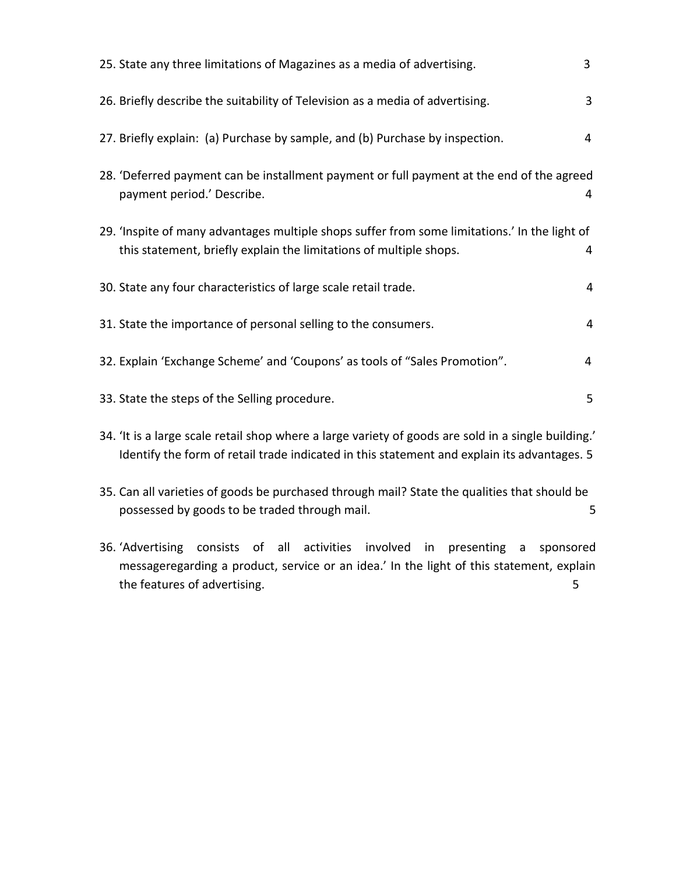| 25. State any three limitations of Magazines as a media of advertising.                                                                                             | 3 |
|---------------------------------------------------------------------------------------------------------------------------------------------------------------------|---|
| 26. Briefly describe the suitability of Television as a media of advertising.                                                                                       | 3 |
| 27. Briefly explain: (a) Purchase by sample, and (b) Purchase by inspection.                                                                                        | 4 |
| 28. 'Deferred payment can be installment payment or full payment at the end of the agreed<br>payment period.' Describe.                                             | 4 |
| 29. 'Inspite of many advantages multiple shops suffer from some limitations.' In the light of<br>this statement, briefly explain the limitations of multiple shops. | 4 |
| 30. State any four characteristics of large scale retail trade.                                                                                                     | 4 |
| 31. State the importance of personal selling to the consumers.                                                                                                      | 4 |
| 32. Explain 'Exchange Scheme' and 'Coupons' as tools of "Sales Promotion".                                                                                          | 4 |
| 33. State the steps of the Selling procedure.                                                                                                                       | 5 |

- 34. 'It is a large scale retail shop where a large variety of goods are sold in a single building.' Identify the form of retail trade indicated in this statement and explain its advantages. 5
- 35. Can all varieties of goods be purchased through mail? State the qualities that should be possessed by goods to be traded through mail. The same state of the state of the state of the state of the state of the state of the state of the state of the state of the state of the state of the state of the state of th
- 36. 'Advertising consists of all activities involved in presenting a sponsored messageregarding a product, service or an idea.' In the light of this statement, explain the features of advertising. 5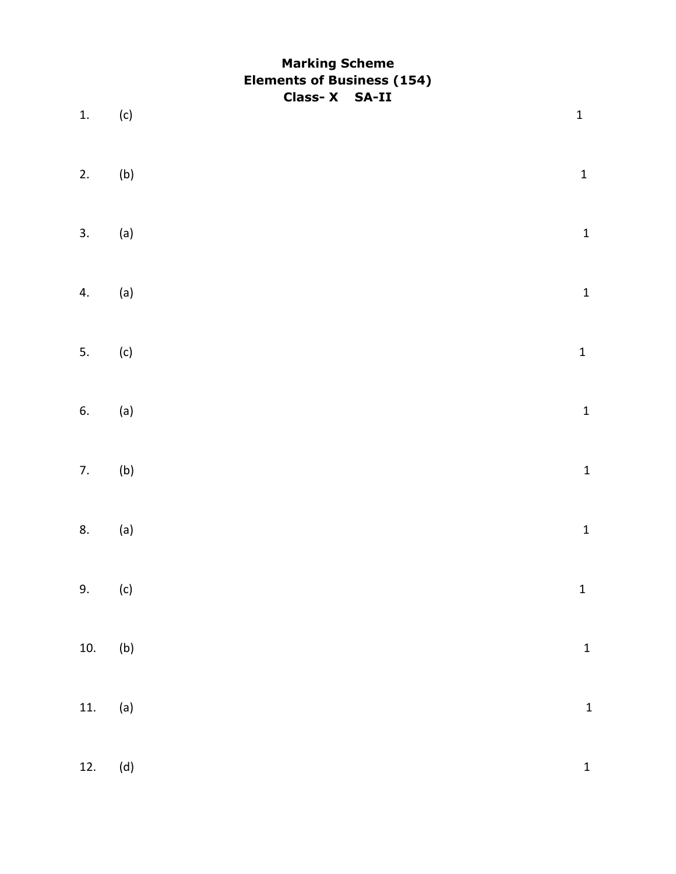# **Marking Scheme Elements of Business (154) Class- X SA-II**

| 1.               | (c)            | $\mathbf 1$  |
|------------------|----------------|--------------|
|                  |                |              |
| 2.               | (b)            | $\mathbf{1}$ |
| $\overline{3}$ . | (a)            | $\mathbf{1}$ |
| 4.               | (a)            | $\mathbf{1}$ |
| 5.               | (c)            | $\mathbf{1}$ |
|                  |                |              |
| 6.               | (a)            | $\mathbf{1}$ |
| $\overline{7}$ . | (b)            | $\mathbf{1}$ |
| 8.               | (a)            | $\mathbf{1}$ |
| 9.               | (c)            | $\mathbf{1}$ |
|                  |                |              |
| 10.              | (b)            | $\mathbf{1}$ |
| 11.              | (a)            | $\mathbf{1}$ |
| 12.              | $(\mathsf{d})$ | $\mathbf{1}$ |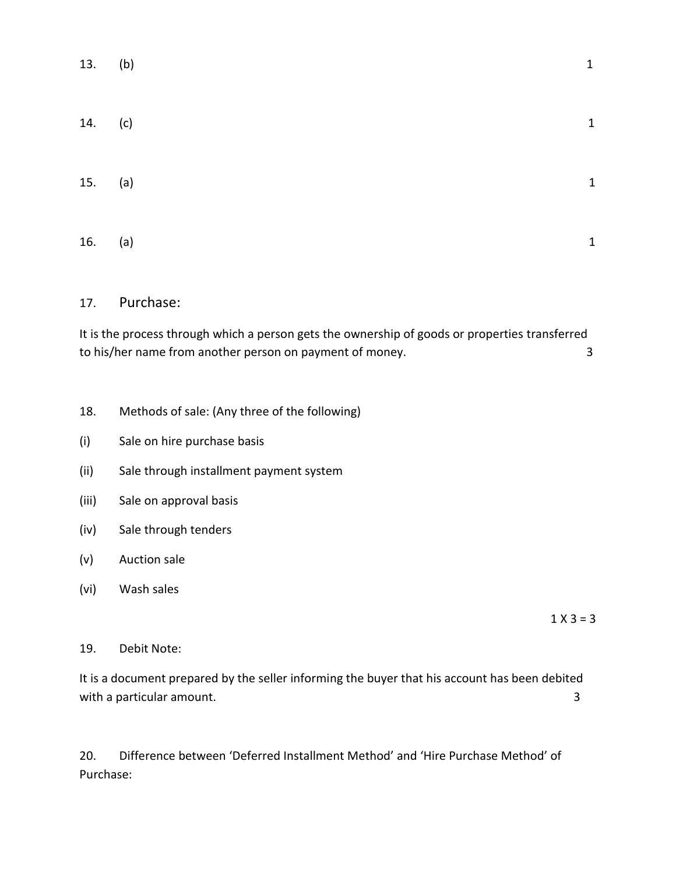| 13. (b) |     | $\mathbf{1}$   |
|---------|-----|----------------|
| 14. (c) |     | $\overline{1}$ |
| 15. (a) |     | $\overline{1}$ |
| 16.     | (a) | 1              |

#### 17. Purchase:

It is the process through which a person gets the ownership of goods or properties transferred to his/her name from another person on payment of money. 3

- 18. Methods of sale: (Any three of the following)
- (i) Sale on hire purchase basis
- (ii) Sale through installment payment system
- (iii) Sale on approval basis
- (iv) Sale through tenders
- (v) Auction sale
- (vi) Wash sales

 $1 X 3 = 3$ 

#### 19. Debit Note:

It is a document prepared by the seller informing the buyer that his account has been debited with a particular amount. 3

20. Difference between 'Deferred Installment Method' and 'Hire Purchase Method' of Purchase: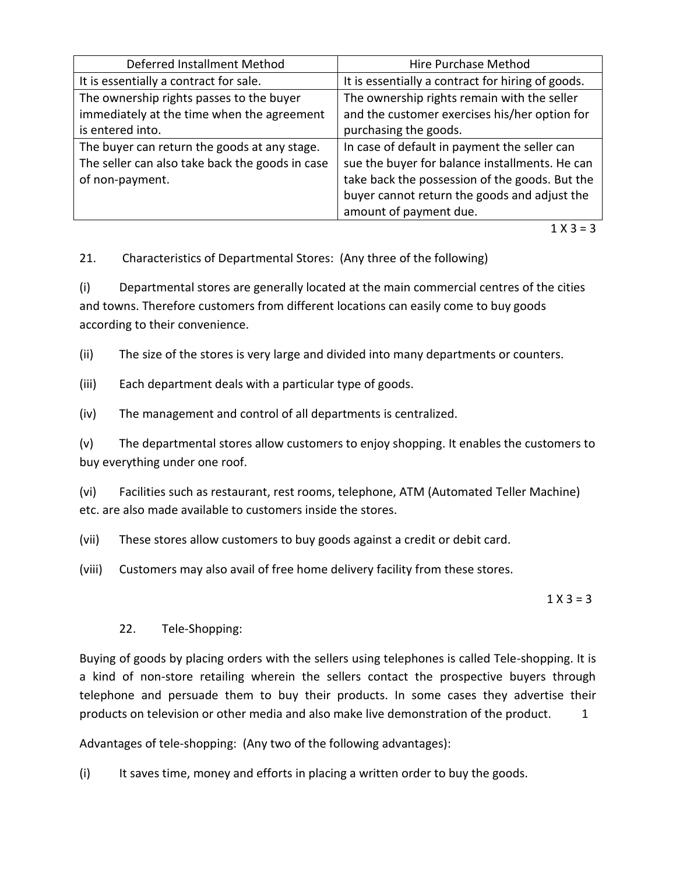| Deferred Installment Method                     | Hire Purchase Method                              |
|-------------------------------------------------|---------------------------------------------------|
| It is essentially a contract for sale.          | It is essentially a contract for hiring of goods. |
| The ownership rights passes to the buyer        | The ownership rights remain with the seller       |
| immediately at the time when the agreement      | and the customer exercises his/her option for     |
| is entered into.                                | purchasing the goods.                             |
| The buyer can return the goods at any stage.    | In case of default in payment the seller can      |
| The seller can also take back the goods in case | sue the buyer for balance installments. He can    |
| of non-payment.                                 | take back the possession of the goods. But the    |
|                                                 | buyer cannot return the goods and adjust the      |
|                                                 | amount of payment due.                            |

 $1 X 3 = 3$ 

21. Characteristics of Departmental Stores: (Any three of the following)

(i) Departmental stores are generally located at the main commercial centres of the cities and towns. Therefore customers from different locations can easily come to buy goods according to their convenience.

(ii) The size of the stores is very large and divided into many departments or counters.

(iii) Each department deals with a particular type of goods.

(iv) The management and control of all departments is centralized.

(v) The departmental stores allow customers to enjoy shopping. It enables the customers to buy everything under one roof.

(vi) Facilities such as restaurant, rest rooms, telephone, ATM (Automated Teller Machine) etc. are also made available to customers inside the stores.

(vii) These stores allow customers to buy goods against a credit or debit card.

(viii) Customers may also avail of free home delivery facility from these stores.

 $1 X 3 = 3$ 

## 22. Tele-Shopping:

Buying of goods by placing orders with the sellers using telephones is called Tele-shopping. It is a kind of non-store retailing wherein the sellers contact the prospective buyers through telephone and persuade them to buy their products. In some cases they advertise their products on television or other media and also make live demonstration of the product. 1

Advantages of tele-shopping: (Any two of the following advantages):

(i) It saves time, money and efforts in placing a written order to buy the goods.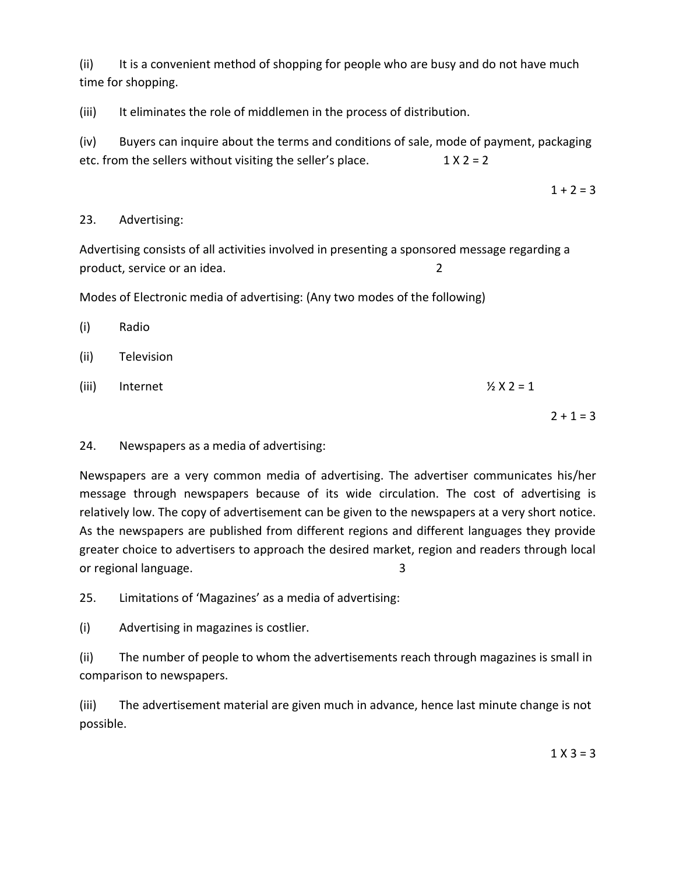(ii) It is a convenient method of shopping for people who are busy and do not have much time for shopping.

(iii) It eliminates the role of middlemen in the process of distribution.

(iv) Buyers can inquire about the terms and conditions of sale, mode of payment, packaging etc. from the sellers without visiting the seller's place.  $1 \times 2 = 2$ 

 $1 + 2 = 3$ 

### 23. Advertising:

Advertising consists of all activities involved in presenting a sponsored message regarding a product, service or an idea. 2

Modes of Electronic media of advertising: (Any two modes of the following)

| (i)   | Radio      |                       |             |
|-------|------------|-----------------------|-------------|
| (ii)  | Television |                       |             |
| (iii) | Internet   | $\frac{1}{2}$ X 2 = 1 |             |
|       |            |                       | $2 + 1 = 3$ |

## 24. Newspapers as a media of advertising:

Newspapers are a very common media of advertising. The advertiser communicates his/her message through newspapers because of its wide circulation. The cost of advertising is relatively low. The copy of advertisement can be given to the newspapers at a very short notice. As the newspapers are published from different regions and different languages they provide greater choice to advertisers to approach the desired market, region and readers through local or regional language. 3

25. Limitations of 'Magazines' as a media of advertising:

(i) Advertising in magazines is costlier.

(ii) The number of people to whom the advertisements reach through magazines is small in comparison to newspapers.

(iii) The advertisement material are given much in advance, hence last minute change is not possible.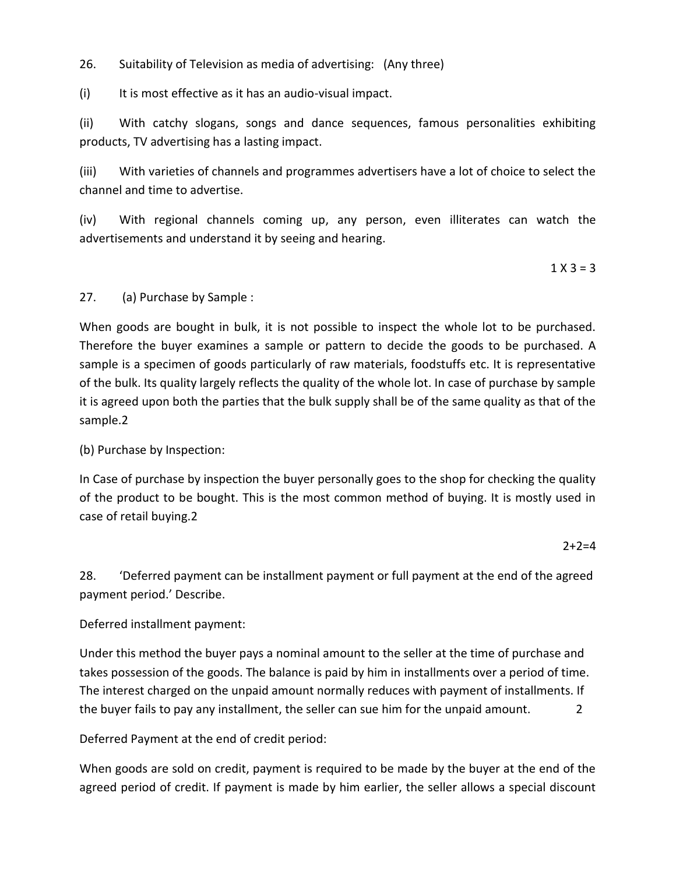26. Suitability of Television as media of advertising: (Any three)

(i) It is most effective as it has an audio-visual impact.

(ii) With catchy slogans, songs and dance sequences, famous personalities exhibiting products, TV advertising has a lasting impact.

(iii) With varieties of channels and programmes advertisers have a lot of choice to select the channel and time to advertise.

(iv) With regional channels coming up, any person, even illiterates can watch the advertisements and understand it by seeing and hearing.

 $1 X 3 = 3$ 

#### 27. (a) Purchase by Sample :

When goods are bought in bulk, it is not possible to inspect the whole lot to be purchased. Therefore the buyer examines a sample or pattern to decide the goods to be purchased. A sample is a specimen of goods particularly of raw materials, foodstuffs etc. It is representative of the bulk. Its quality largely reflects the quality of the whole lot. In case of purchase by sample it is agreed upon both the parties that the bulk supply shall be of the same quality as that of the sample.2

#### (b) Purchase by Inspection:

In Case of purchase by inspection the buyer personally goes to the shop for checking the quality of the product to be bought. This is the most common method of buying. It is mostly used in case of retail buying.2

 $2+2=4$ 

28. 'Deferred payment can be installment payment or full payment at the end of the agreed payment period.' Describe.

#### Deferred installment payment:

Under this method the buyer pays a nominal amount to the seller at the time of purchase and takes possession of the goods. The balance is paid by him in installments over a period of time. The interest charged on the unpaid amount normally reduces with payment of installments. If the buyer fails to pay any installment, the seller can sue him for the unpaid amount.

Deferred Payment at the end of credit period:

When goods are sold on credit, payment is required to be made by the buyer at the end of the agreed period of credit. If payment is made by him earlier, the seller allows a special discount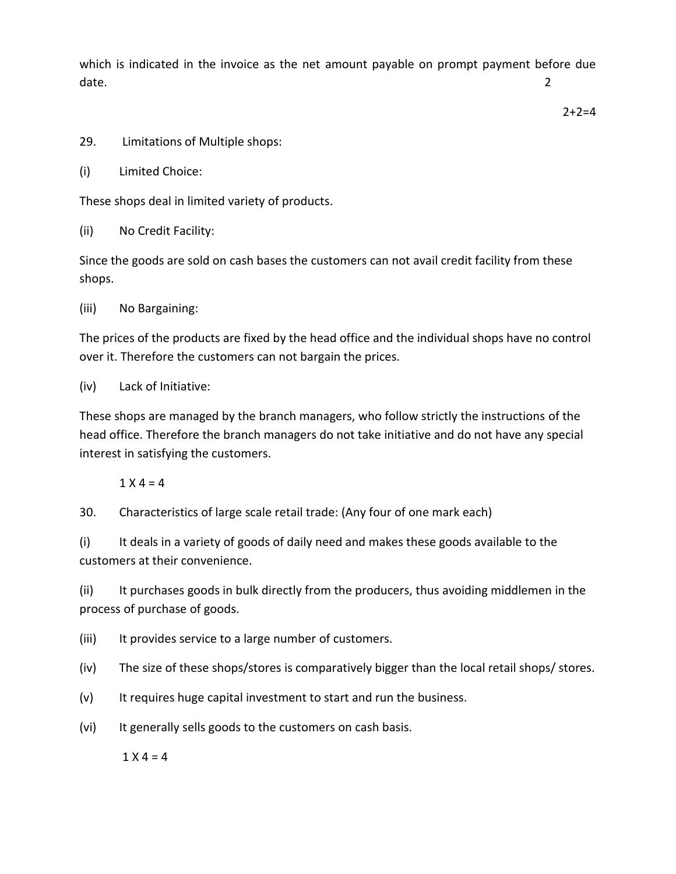which is indicated in the invoice as the net amount payable on prompt payment before due date. 2

 $2+2=4$ 

- 29. Limitations of Multiple shops:
- (i) Limited Choice:

These shops deal in limited variety of products.

(ii) No Credit Facility:

Since the goods are sold on cash bases the customers can not avail credit facility from these shops.

(iii) No Bargaining:

The prices of the products are fixed by the head office and the individual shops have no control over it. Therefore the customers can not bargain the prices.

### (iv) Lack of Initiative:

These shops are managed by the branch managers, who follow strictly the instructions of the head office. Therefore the branch managers do not take initiative and do not have any special interest in satisfying the customers.

## $1 X 4 = 4$

30. Characteristics of large scale retail trade: (Any four of one mark each)

(i) It deals in a variety of goods of daily need and makes these goods available to the customers at their convenience.

(ii) It purchases goods in bulk directly from the producers, thus avoiding middlemen in the process of purchase of goods.

(iii) It provides service to a large number of customers.

(iv) The size of these shops/stores is comparatively bigger than the local retail shops/ stores.

(v) It requires huge capital investment to start and run the business.

(vi) It generally sells goods to the customers on cash basis.

 $1 X 4 = 4$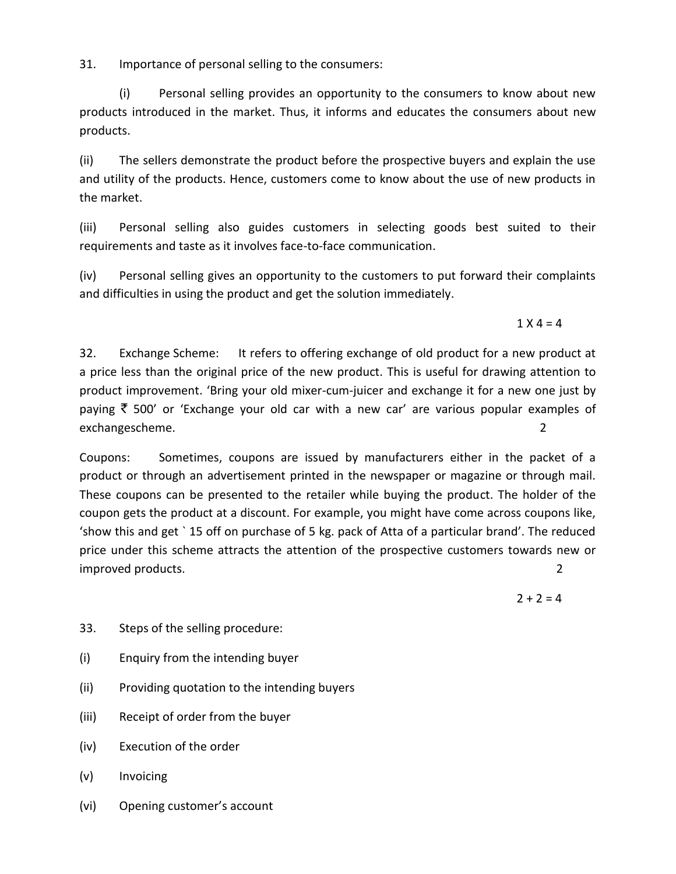31. Importance of personal selling to the consumers:

(i) Personal selling provides an opportunity to the consumers to know about new products introduced in the market. Thus, it informs and educates the consumers about new products.

(ii) The sellers demonstrate the product before the prospective buyers and explain the use and utility of the products. Hence, customers come to know about the use of new products in the market.

(iii) Personal selling also guides customers in selecting goods best suited to their requirements and taste as it involves face-to-face communication.

(iv) Personal selling gives an opportunity to the customers to put forward their complaints and difficulties in using the product and get the solution immediately.

 $1 X 4 = 4$ 

32. Exchange Scheme: It refers to offering exchange of old product for a new product at a price less than the original price of the new product. This is useful for drawing attention to product improvement. 'Bring your old mixer-cum-juicer and exchange it for a new one just by paying  $\bar{\tau}$  500' or 'Exchange your old car with a new car' are various popular examples of exchangescheme. 2

Coupons: Sometimes, coupons are issued by manufacturers either in the packet of a product or through an advertisement printed in the newspaper or magazine or through mail. These coupons can be presented to the retailer while buying the product. The holder of the coupon gets the product at a discount. For example, you might have come across coupons like, 'show this and get ` 15 off on purchase of 5 kg. pack of Atta of a particular brand'. The reduced price under this scheme attracts the attention of the prospective customers towards new or improved products. 2

 $2 + 2 = 4$ 

- 33. Steps of the selling procedure:
- (i) Enquiry from the intending buyer
- (ii) Providing quotation to the intending buyers
- (iii) Receipt of order from the buyer
- (iv) Execution of the order
- (v) Invoicing
- (vi) Opening customer's account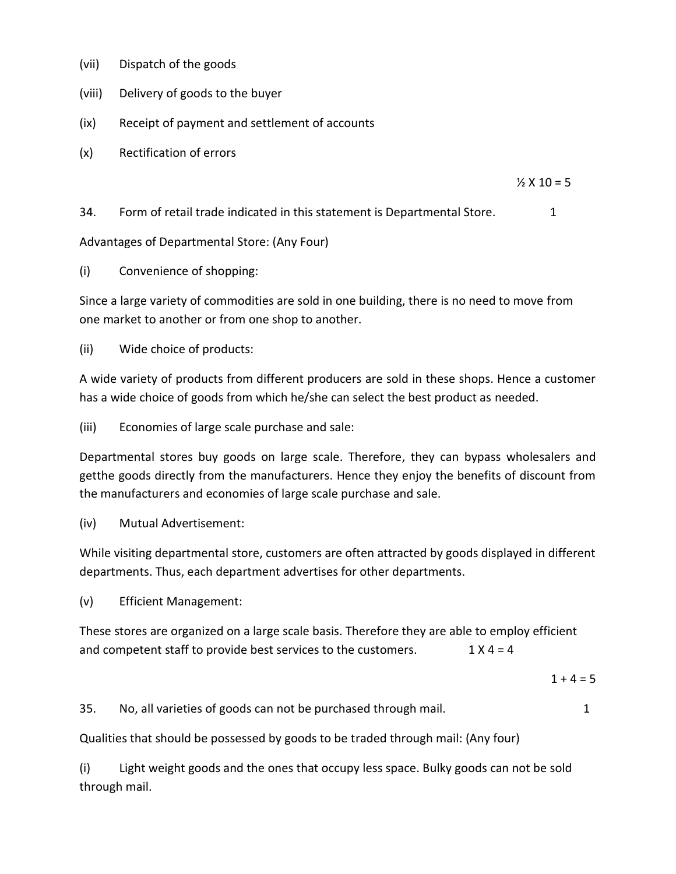- (vii) Dispatch of the goods
- (viii) Delivery of goods to the buyer
- (ix) Receipt of payment and settlement of accounts
- (x) Rectification of errors

 $\frac{1}{2}$  X 10 = 5

34. Form of retail trade indicated in this statement is Departmental Store. 1

Advantages of Departmental Store: (Any Four)

(i) Convenience of shopping:

Since a large variety of commodities are sold in one building, there is no need to move from one market to another or from one shop to another.

(ii) Wide choice of products:

A wide variety of products from different producers are sold in these shops. Hence a customer has a wide choice of goods from which he/she can select the best product as needed.

(iii) Economies of large scale purchase and sale:

Departmental stores buy goods on large scale. Therefore, they can bypass wholesalers and getthe goods directly from the manufacturers. Hence they enjoy the benefits of discount from the manufacturers and economies of large scale purchase and sale.

(iv) Mutual Advertisement:

While visiting departmental store, customers are often attracted by goods displayed in different departments. Thus, each department advertises for other departments.

(v) Efficient Management:

These stores are organized on a large scale basis. Therefore they are able to employ efficient and competent staff to provide best services to the customers.  $1 \times 4 = 4$ 

 $1 + 4 = 5$ 

35. No, all varieties of goods can not be purchased through mail. 1

Qualities that should be possessed by goods to be traded through mail: (Any four)

(i) Light weight goods and the ones that occupy less space. Bulky goods can not be sold through mail.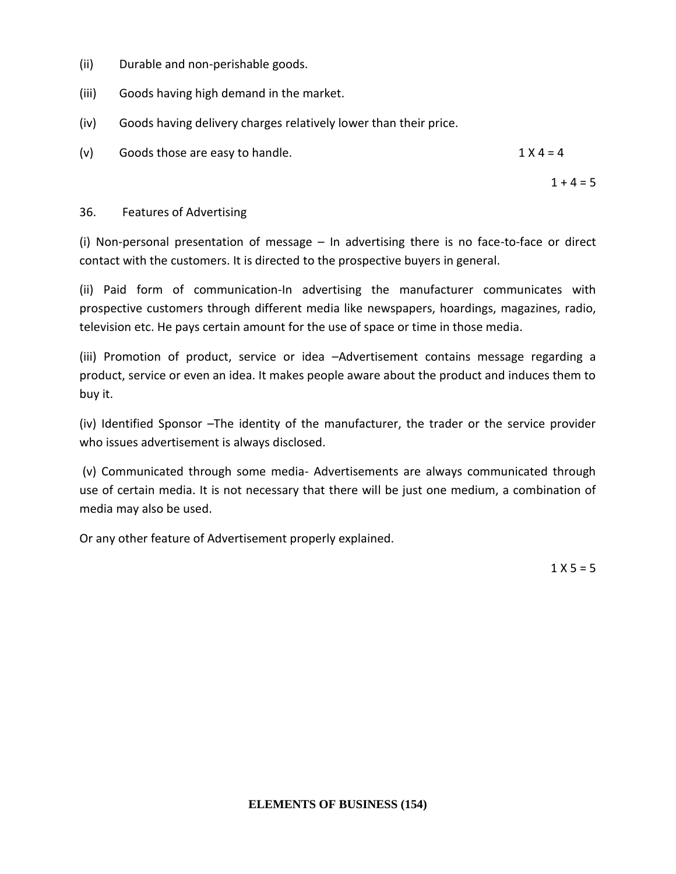- (ii) Durable and non-perishable goods.
- (iii) Goods having high demand in the market.
- (iv) Goods having delivery charges relatively lower than their price.
- (v) Goods those are easy to handle.  $1 \times 4 = 4$

 $1 + 4 = 5$ 

#### 36. Features of Advertising

(i) Non-personal presentation of message – In advertising there is no face-to-face or direct contact with the customers. It is directed to the prospective buyers in general.

(ii) Paid form of communication-In advertising the manufacturer communicates with prospective customers through different media like newspapers, hoardings, magazines, radio, television etc. He pays certain amount for the use of space or time in those media.

(iii) Promotion of product, service or idea –Advertisement contains message regarding a product, service or even an idea. It makes people aware about the product and induces them to buy it.

(iv) Identified Sponsor –The identity of the manufacturer, the trader or the service provider who issues advertisement is always disclosed.

(v) Communicated through some media- Advertisements are always communicated through use of certain media. It is not necessary that there will be just one medium, a combination of media may also be used.

Or any other feature of Advertisement properly explained.

 $1 \times 5 = 5$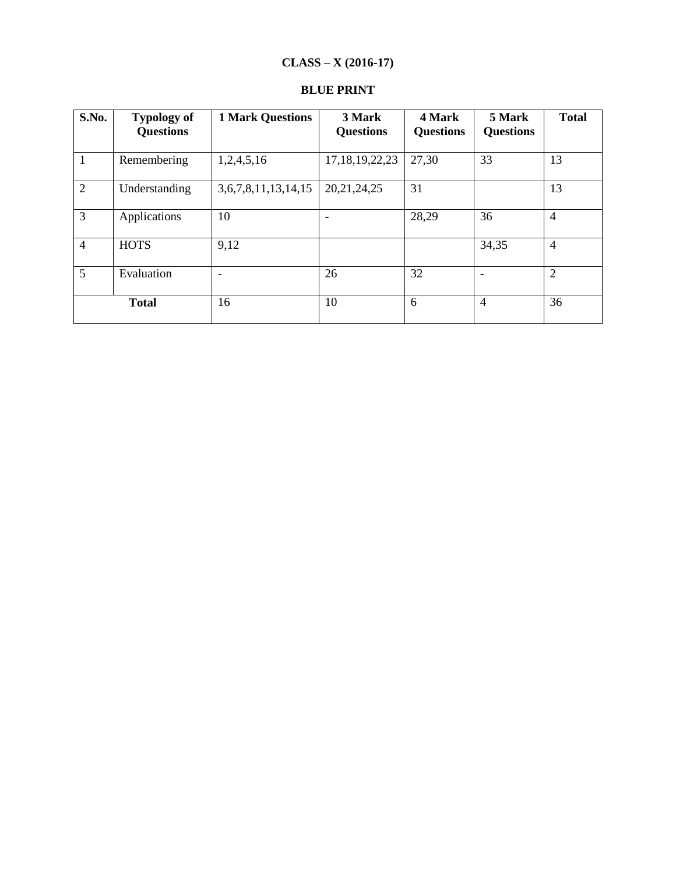# **CLASS – X (2016-17)**

| S.No.          | <b>Typology of</b><br><b>Questions</b> | <b>1 Mark Questions</b>    | 3 Mark<br><b>Questions</b> | 4 Mark<br><b>Questions</b> | 5 Mark<br><b>Questions</b> | <b>Total</b>   |
|----------------|----------------------------------------|----------------------------|----------------------------|----------------------------|----------------------------|----------------|
| $\mathbf{1}$   | Remembering                            | 1,2,4,5,16                 | 17, 18, 19, 22, 23         | 27,30                      | 33                         | 13             |
| 2              | Understanding                          | 3, 6, 7, 8, 11, 13, 14, 15 | 20, 21, 24, 25             | 31                         |                            | 13             |
| $\overline{3}$ | Applications                           | 10                         |                            | 28,29                      | 36                         | $\overline{4}$ |
| $\overline{4}$ | <b>HOTS</b>                            | 9,12                       |                            |                            | 34,35                      | $\overline{4}$ |
| 5              | Evaluation                             | $\overline{\phantom{0}}$   | 26                         | 32                         |                            | $\overline{2}$ |
|                | <b>Total</b>                           | 16                         | 10                         | 6                          | $\overline{4}$             | 36             |

### **BLUE PRINT**